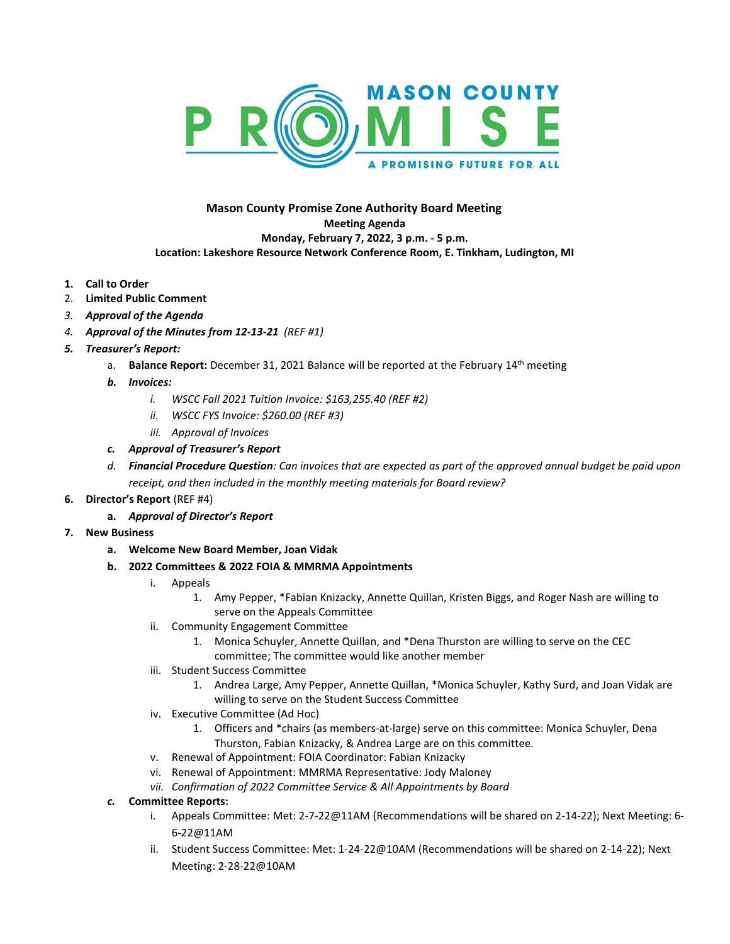

## **Mason County Promise Zone Authority Board Meeting Meeting Agenda Monday, February 7, 2022, 3 p.m. - 5 p.m. Location: Lakeshore Resource Network Conference Room, E. Tinkham, Ludington, MI**

- **1. Call to Order**
- 2. **Limited Public Comment**
- *3. Approval of the Agenda*
- *4. Approval of the Minutes from 12-13-21 (REF #1)*
- *5. Treasurer's Report:* 
	- a. **Balance Report:** December 31, 2021 Balance will be reported at the February 14th meeting
	- *b. Invoices:*
		- *i. WSCC Fall 2021 Tuition Invoice: \$163,255.40 (REF #2)*
		- *ii. WSCC FYS Invoice: \$260.00 (REF #3)*
		- *iii. Approval of Invoices*
	- *c. Approval of Treasurer's Report*
	- *d. Financial Procedure Question: Can invoices that are expected as part of the approved annual budget be paid upon receipt, and then included in the monthly meeting materials for Board review?*
- **6. Director's Report** (REF #4)
	- **a.** *Approval of Director's Report*
- **7. New Business**
	- **a. Welcome New Board Member, Joan Vidak**
	- **b. 2022 Committees & 2022 FOIA & MMRMA Appointments**
		- i. Appeals
			- 1. Amy Pepper, \*Fabian Knizacky, Annette Quillan, Kristen Biggs, and Roger Nash are willing to serve on the Appeals Committee
		- ii. Community Engagement Committee
			- 1. Monica Schuyler, Annette Quillan, and \*Dena Thurston are willing to serve on the CEC committee; The committee would like another member
		- iii. Student Success Committee
			- 1. Andrea Large, Amy Pepper, Annette Quillan, \*Monica Schuyler, Kathy Surd, and Joan Vidak are willing to serve on the Student Success Committee
		- iv. Executive Committee (Ad Hoc)
			- 1. Officers and \*chairs (as members-at-large) serve on this committee: Monica Schuyler, Dena Thurston, Fabian Knizacky, & Andrea Large are on this committee.
		- v. Renewal of Appointment: FOIA Coordinator: Fabian Knizacky
		- vi. Renewal of Appointment: MMRMA Representative: Jody Maloney
		- *vii. Confirmation of 2022 Committee Service & All Appointments by Board*

## *c.* **Committee Reports:**

- i. Appeals Committee: Met: 2-7-22@11AM (Recommendations will be shared on 2-14-22); Next Meeting: 6- 6-22@11AM
- ii. Student Success Committee: Met: 1-24-22@10AM (Recommendations will be shared on 2-14-22); Next Meeting: 2-28-22@10AM